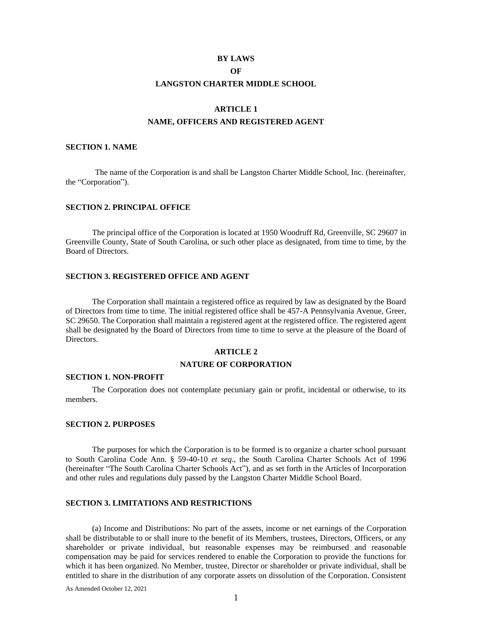#### **BY LAWS**

## **OF**

## **LANGSTON CHARTER MIDDLE SCHOOL**

### **ARTICLE 1**

# **NAME, OFFICERS AND REGISTERED AGENT**

#### **SECTION 1. NAME**

The name of the Corporation is and shall be Langston Charter Middle School, Inc. (hereinafter, the "Corporation").

### **SECTION 2. PRINCIPAL OFFICE**

The principal office of the Corporation is located at 1950 Woodruff Rd, Greenville, SC 29607 in Greenville County, State of South Carolina, or such other place as designated, from time to time, by the Board of Directors.

#### **SECTION 3. REGISTERED OFFICE AND AGENT**

The Corporation shall maintain a registered office as required by law as designated by the Board of Directors from time to time. The initial registered office shall be 457-A Pennsylvania Avenue, Greer, SC 29650. The Corporation shall maintain a registered agent at the registered office. The registered agent shall be designated by the Board of Directors from time to time to serve at the pleasure of the Board of Directors.

#### **ARTICLE 2**

#### **NATURE OF CORPORATION**

#### **SECTION 1. NON-PROFIT**

The Corporation does not contemplate pecuniary gain or profit, incidental or otherwise, to its members.

#### **SECTION 2. PURPOSES**

The purposes for which the Corporation is to be formed is to organize a charter school pursuant to South Carolina Code Ann. § 59-40-10 *et seq.,* the South Carolina Charter Schools Act of 1996 (hereinafter "The South Carolina Charter Schools Act"), and as set forth in the Articles of Incorporation and other rules and regulations duly passed by the Langston Charter Middle School Board.

# **SECTION 3. LIMITATIONS AND RESTRICTIONS**

(a) Income and Distributions: No part of the assets, income or net earnings of the Corporation shall be distributable to or shall inure to the benefit of its Members, trustees, Directors, Officers, or any shareholder or private individual, but reasonable expenses may be reimbursed and reasonable compensation may be paid for services rendered to enable the Corporation to provide the functions for which it has been organized. No Member, trustee, Director or shareholder or private individual, shall be entitled to share in the distribution of any corporate assets on dissolution of the Corporation. Consistent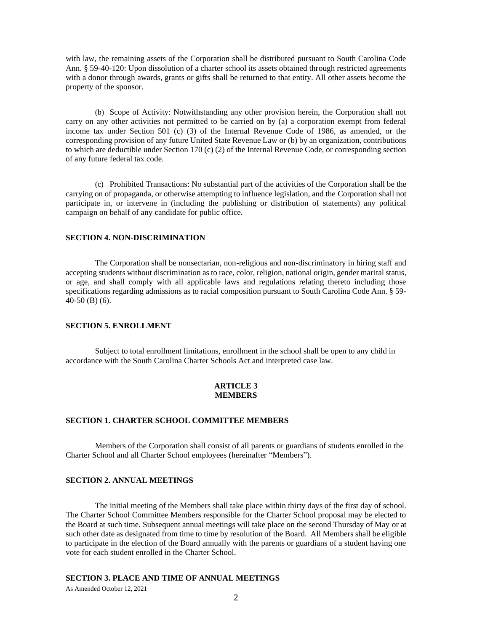with law, the remaining assets of the Corporation shall be distributed pursuant to South Carolina Code Ann. § 59-40-120: Upon dissolution of a charter school its assets obtained through restricted agreements with a donor through awards, grants or gifts shall be returned to that entity. All other assets become the property of the sponsor.

(b) Scope of Activity: Notwithstanding any other provision herein, the Corporation shall not carry on any other activities not permitted to be carried on by (a) a corporation exempt from federal income tax under Section 501 (c) (3) of the Internal Revenue Code of 1986, as amended, or the corresponding provision of any future United State Revenue Law or (b) by an organization, contributions to which are deductible under Section 170 (c) (2) of the Internal Revenue Code, or corresponding section of any future federal tax code.

(c) Prohibited Transactions: No substantial part of the activities of the Corporation shall be the carrying on of propaganda, or otherwise attempting to influence legislation, and the Corporation shall not participate in, or intervene in (including the publishing or distribution of statements) any political campaign on behalf of any candidate for public office.

## **SECTION 4. NON-DISCRIMINATION**

The Corporation shall be nonsectarian, non-religious and non-discriminatory in hiring staff and accepting students without discrimination as to race, color, religion, national origin, gender marital status, or age, and shall comply with all applicable laws and regulations relating thereto including those specifications regarding admissions as to racial composition pursuant to South Carolina Code Ann. § 59- 40-50 (B) (6).

#### **SECTION 5. ENROLLMENT**

Subject to total enrollment limitations, enrollment in the school shall be open to any child in accordance with the South Carolina Charter Schools Act and interpreted case law.

#### **ARTICLE 3 MEMBERS**

## **SECTION 1. CHARTER SCHOOL COMMITTEE MEMBERS**

Members of the Corporation shall consist of all parents or guardians of students enrolled in the Charter School and all Charter School employees (hereinafter "Members").

# **SECTION 2. ANNUAL MEETINGS**

The initial meeting of the Members shall take place within thirty days of the first day of school. The Charter School Committee Members responsible for the Charter School proposal may be elected to the Board at such time. Subsequent annual meetings will take place on the second Thursday of May or at such other date as designated from time to time by resolution of the Board. All Members shall be eligible to participate in the election of the Board annually with the parents or guardians of a student having one vote for each student enrolled in the Charter School.

#### **SECTION 3. PLACE AND TIME OF ANNUAL MEETINGS**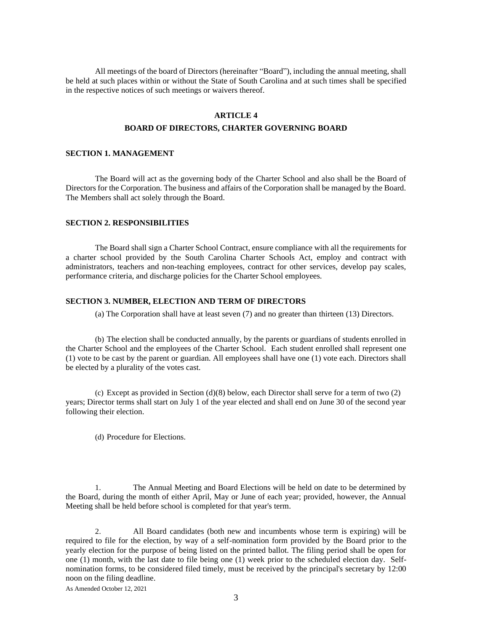All meetings of the board of Directors (hereinafter "Board"), including the annual meeting, shall be held at such places within or without the State of South Carolina and at such times shall be specified in the respective notices of such meetings or waivers thereof.

## **ARTICLE 4**

#### **BOARD OF DIRECTORS, CHARTER GOVERNING BOARD**

### **SECTION 1. MANAGEMENT**

The Board will act as the governing body of the Charter School and also shall be the Board of Directors for the Corporation. The business and affairs of the Corporation shall be managed by the Board. The Members shall act solely through the Board.

## **SECTION 2. RESPONSIBILITIES**

The Board shall sign a Charter School Contract, ensure compliance with all the requirements for a charter school provided by the South Carolina Charter Schools Act, employ and contract with administrators, teachers and non-teaching employees, contract for other services, develop pay scales, performance criteria, and discharge policies for the Charter School employees.

### **SECTION 3. NUMBER, ELECTION AND TERM OF DIRECTORS**

(a) The Corporation shall have at least seven (7) and no greater than thirteen (13) Directors.

(b) The election shall be conducted annually, by the parents or guardians of students enrolled in the Charter School and the employees of the Charter School. Each student enrolled shall represent one (1) vote to be cast by the parent or guardian. All employees shall have one (1) vote each. Directors shall be elected by a plurality of the votes cast.

(c) Except as provided in Section (d)(8) below, each Director shall serve for a term of two (2) years; Director terms shall start on July 1 of the year elected and shall end on June 30 of the second year following their election.

(d) Procedure for Elections.

1. The Annual Meeting and Board Elections will be held on date to be determined by the Board, during the month of either April, May or June of each year; provided, however, the Annual Meeting shall be held before school is completed for that year's term.

2. All Board candidates (both new and incumbents whose term is expiring) will be required to file for the election, by way of a self-nomination form provided by the Board prior to the yearly election for the purpose of being listed on the printed ballot. The filing period shall be open for one (1) month, with the last date to file being one (1) week prior to the scheduled election day. Selfnomination forms, to be considered filed timely, must be received by the principal's secretary by 12:00 noon on the filing deadline.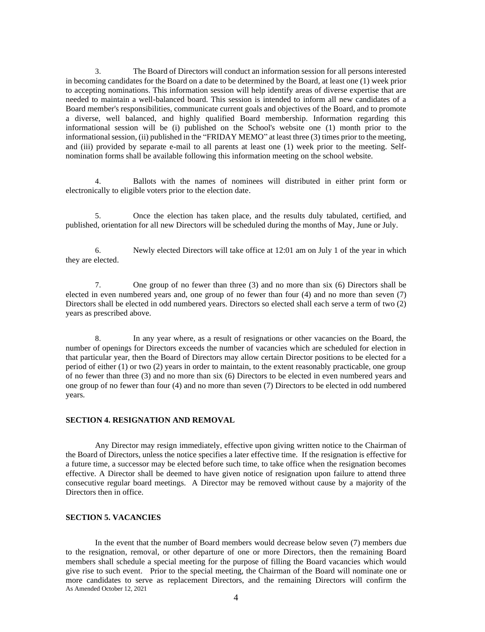3. The Board of Directors will conduct an information session for all persons interested in becoming candidates for the Board on a date to be determined by the Board, at least one (1) week prior to accepting nominations. This information session will help identify areas of diverse expertise that are needed to maintain a well-balanced board. This session is intended to inform all new candidates of a Board member's responsibilities, communicate current goals and objectives of the Board, and to promote a diverse, well balanced, and highly qualified Board membership. Information regarding this informational session will be (i) published on the School's website one (1) month prior to the informational session, (ii) published in the "FRIDAY MEMO" at least three (3) times prior to the meeting, and (iii) provided by separate e-mail to all parents at least one (1) week prior to the meeting. Selfnomination forms shall be available following this information meeting on the school website.

4. Ballots with the names of nominees will distributed in either print form or electronically to eligible voters prior to the election date.

5. Once the election has taken place, and the results duly tabulated, certified, and published, orientation for all new Directors will be scheduled during the months of May, June or July.

6. Newly elected Directors will take office at 12:01 am on July 1 of the year in which they are elected.

7. One group of no fewer than three (3) and no more than six (6) Directors shall be elected in even numbered years and, one group of no fewer than four (4) and no more than seven (7) Directors shall be elected in odd numbered years. Directors so elected shall each serve a term of two (2) years as prescribed above.

8. In any year where, as a result of resignations or other vacancies on the Board, the number of openings for Directors exceeds the number of vacancies which are scheduled for election in that particular year, then the Board of Directors may allow certain Director positions to be elected for a period of either (1) or two (2) years in order to maintain, to the extent reasonably practicable, one group of no fewer than three (3) and no more than six (6) Directors to be elected in even numbered years and one group of no fewer than four (4) and no more than seven (7) Directors to be elected in odd numbered years.

# **SECTION 4. RESIGNATION AND REMOVAL**

Any Director may resign immediately, effective upon giving written notice to the Chairman of the Board of Directors, unless the notice specifies a later effective time. If the resignation is effective for a future time, a successor may be elected before such time, to take office when the resignation becomes effective. A Director shall be deemed to have given notice of resignation upon failure to attend three consecutive regular board meetings. A Director may be removed without cause by a majority of the Directors then in office.

# **SECTION 5. VACANCIES**

As Amended October 12, 2021 In the event that the number of Board members would decrease below seven (7) members due to the resignation, removal, or other departure of one or more Directors, then the remaining Board members shall schedule a special meeting for the purpose of filling the Board vacancies which would give rise to such event. Prior to the special meeting, the Chairman of the Board will nominate one or more candidates to serve as replacement Directors, and the remaining Directors will confirm the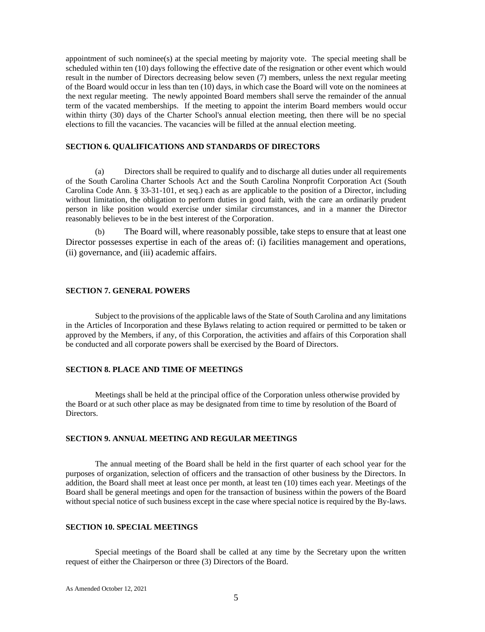appointment of such nominee(s) at the special meeting by majority vote. The special meeting shall be scheduled within ten (10) days following the effective date of the resignation or other event which would result in the number of Directors decreasing below seven (7) members, unless the next regular meeting of the Board would occur in less than ten (10) days, in which case the Board will vote on the nominees at the next regular meeting. The newly appointed Board members shall serve the remainder of the annual term of the vacated memberships. If the meeting to appoint the interim Board members would occur within thirty (30) days of the Charter School's annual election meeting, then there will be no special elections to fill the vacancies. The vacancies will be filled at the annual election meeting.

## **SECTION 6. QUALIFICATIONS AND STANDARDS OF DIRECTORS**

(a) Directors shall be required to qualify and to discharge all duties under all requirements of the South Carolina Charter Schools Act and the South Carolina Nonprofit Corporation Act (South Carolina Code Ann. § 33-31-101, et seq.) each as are applicable to the position of a Director, including without limitation, the obligation to perform duties in good faith, with the care an ordinarily prudent person in like position would exercise under similar circumstances, and in a manner the Director reasonably believes to be in the best interest of the Corporation.

(b) The Board will, where reasonably possible, take steps to ensure that at least one Director possesses expertise in each of the areas of: (i) facilities management and operations, (ii) governance, and (iii) academic affairs.

# **SECTION 7. GENERAL POWERS**

Subject to the provisions of the applicable laws of the State of South Carolina and any limitations in the Articles of Incorporation and these Bylaws relating to action required or permitted to be taken or approved by the Members, if any, of this Corporation, the activities and affairs of this Corporation shall be conducted and all corporate powers shall be exercised by the Board of Directors.

# **SECTION 8. PLACE AND TIME OF MEETINGS**

Meetings shall be held at the principal office of the Corporation unless otherwise provided by the Board or at such other place as may be designated from time to time by resolution of the Board of Directors.

## **SECTION 9. ANNUAL MEETING AND REGULAR MEETINGS**

The annual meeting of the Board shall be held in the first quarter of each school year for the purposes of organization, selection of officers and the transaction of other business by the Directors. In addition, the Board shall meet at least once per month, at least ten (10) times each year. Meetings of the Board shall be general meetings and open for the transaction of business within the powers of the Board without special notice of such business except in the case where special notice is required by the By-laws.

# **SECTION 10. SPECIAL MEETINGS**

Special meetings of the Board shall be called at any time by the Secretary upon the written request of either the Chairperson or three (3) Directors of the Board.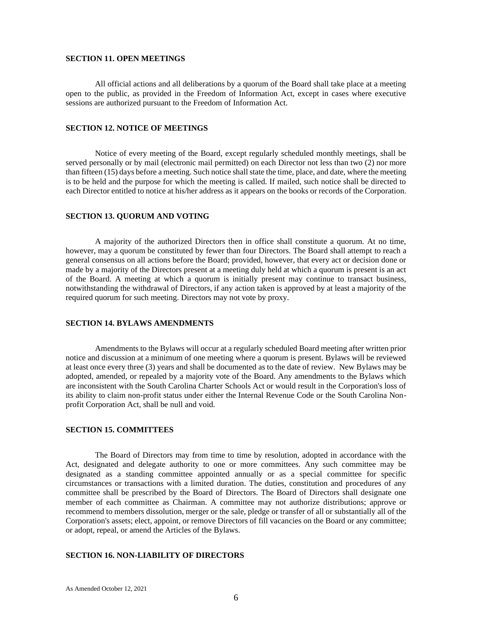#### **SECTION 11. OPEN MEETINGS**

All official actions and all deliberations by a quorum of the Board shall take place at a meeting open to the public, as provided in the Freedom of Information Act, except in cases where executive sessions are authorized pursuant to the Freedom of Information Act.

# **SECTION 12. NOTICE OF MEETINGS**

Notice of every meeting of the Board, except regularly scheduled monthly meetings, shall be served personally or by mail (electronic mail permitted) on each Director not less than two (2) nor more than fifteen (15) days before a meeting. Such notice shall state the time, place, and date, where the meeting is to be held and the purpose for which the meeting is called. If mailed, such notice shall be directed to each Director entitled to notice at his/her address as it appears on the books or records of the Corporation.

## **SECTION 13. QUORUM AND VOTING**

A majority of the authorized Directors then in office shall constitute a quorum. At no time, however, may a quorum be constituted by fewer than four Directors. The Board shall attempt to reach a general consensus on all actions before the Board; provided, however, that every act or decision done or made by a majority of the Directors present at a meeting duly held at which a quorum is present is an act of the Board. A meeting at which a quorum is initially present may continue to transact business, notwithstanding the withdrawal of Directors, if any action taken is approved by at least a majority of the required quorum for such meeting. Directors may not vote by proxy.

## **SECTION 14. BYLAWS AMENDMENTS**

Amendments to the Bylaws will occur at a regularly scheduled Board meeting after written prior notice and discussion at a minimum of one meeting where a quorum is present. Bylaws will be reviewed at least once every three (3) years and shall be documented as to the date of review. New Bylaws may be adopted, amended, or repealed by a majority vote of the Board. Any amendments to the Bylaws which are inconsistent with the South Carolina Charter Schools Act or would result in the Corporation's loss of its ability to claim non-profit status under either the Internal Revenue Code or the South Carolina Nonprofit Corporation Act, shall be null and void.

## **SECTION 15. COMMITTEES**

The Board of Directors may from time to time by resolution, adopted in accordance with the Act, designated and delegate authority to one or more committees. Any such committee may be designated as a standing committee appointed annually or as a special committee for specific circumstances or transactions with a limited duration. The duties, constitution and procedures of any committee shall be prescribed by the Board of Directors. The Board of Directors shall designate one member of each committee as Chairman. A committee may not authorize distributions; approve or recommend to members dissolution, merger or the sale, pledge or transfer of all or substantially all of the Corporation's assets; elect, appoint, or remove Directors of fill vacancies on the Board or any committee; or adopt, repeal, or amend the Articles of the Bylaws.

## **SECTION 16. NON-LIABILITY OF DIRECTORS**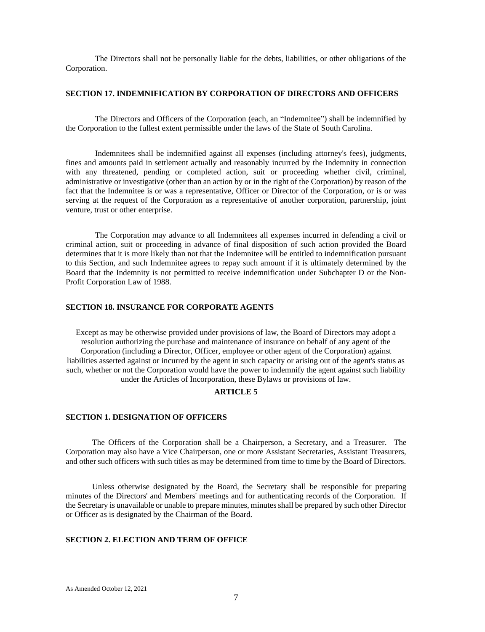The Directors shall not be personally liable for the debts, liabilities, or other obligations of the Corporation.

## **SECTION 17. INDEMNIFICATION BY CORPORATION OF DIRECTORS AND OFFICERS**

The Directors and Officers of the Corporation (each, an "Indemnitee") shall be indemnified by the Corporation to the fullest extent permissible under the laws of the State of South Carolina.

Indemnitees shall be indemnified against all expenses (including attorney's fees), judgments, fines and amounts paid in settlement actually and reasonably incurred by the Indemnity in connection with any threatened, pending or completed action, suit or proceeding whether civil, criminal, administrative or investigative (other than an action by or in the right of the Corporation) by reason of the fact that the Indemnitee is or was a representative, Officer or Director of the Corporation, or is or was serving at the request of the Corporation as a representative of another corporation, partnership, joint venture, trust or other enterprise.

The Corporation may advance to all Indemnitees all expenses incurred in defending a civil or criminal action, suit or proceeding in advance of final disposition of such action provided the Board determines that it is more likely than not that the Indemnitee will be entitled to indemnification pursuant to this Section, and such Indemnitee agrees to repay such amount if it is ultimately determined by the Board that the Indemnity is not permitted to receive indemnification under Subchapter D or the Non-Profit Corporation Law of 1988.

## **SECTION 18. INSURANCE FOR CORPORATE AGENTS**

Except as may be otherwise provided under provisions of law, the Board of Directors may adopt a resolution authorizing the purchase and maintenance of insurance on behalf of any agent of the Corporation (including a Director, Officer, employee or other agent of the Corporation) against liabilities asserted against or incurred by the agent in such capacity or arising out of the agent's status as such, whether or not the Corporation would have the power to indemnify the agent against such liability under the Articles of Incorporation, these Bylaws or provisions of law.

## **ARTICLE 5**

#### **SECTION 1. DESIGNATION OF OFFICERS**

The Officers of the Corporation shall be a Chairperson, a Secretary, and a Treasurer. The Corporation may also have a Vice Chairperson, one or more Assistant Secretaries, Assistant Treasurers, and other such officers with such titles as may be determined from time to time by the Board of Directors.

Unless otherwise designated by the Board, the Secretary shall be responsible for preparing minutes of the Directors' and Members' meetings and for authenticating records of the Corporation. If the Secretary is unavailable or unable to prepare minutes, minutes shall be prepared by such other Director or Officer as is designated by the Chairman of the Board.

# **SECTION 2. ELECTION AND TERM OF OFFICE**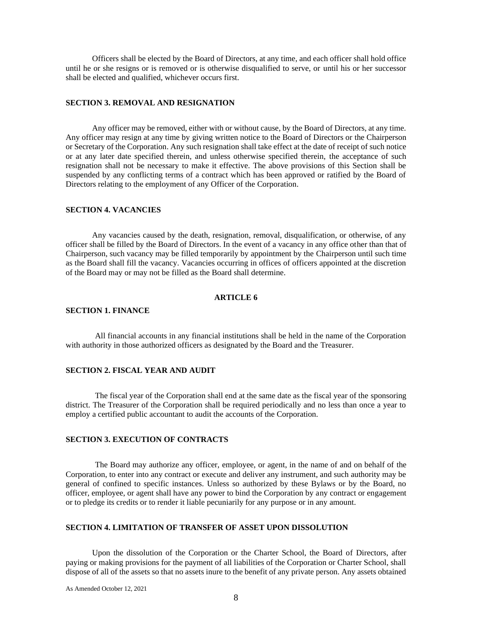Officers shall be elected by the Board of Directors, at any time, and each officer shall hold office until he or she resigns or is removed or is otherwise disqualified to serve, or until his or her successor shall be elected and qualified, whichever occurs first.

## **SECTION 3. REMOVAL AND RESIGNATION**

Any officer may be removed, either with or without cause, by the Board of Directors, at any time. Any officer may resign at any time by giving written notice to the Board of Directors or the Chairperson or Secretary of the Corporation. Any such resignation shall take effect at the date of receipt of such notice or at any later date specified therein, and unless otherwise specified therein, the acceptance of such resignation shall not be necessary to make it effective. The above provisions of this Section shall be suspended by any conflicting terms of a contract which has been approved or ratified by the Board of Directors relating to the employment of any Officer of the Corporation.

# **SECTION 4. VACANCIES**

Any vacancies caused by the death, resignation, removal, disqualification, or otherwise, of any officer shall be filled by the Board of Directors. In the event of a vacancy in any office other than that of Chairperson, such vacancy may be filled temporarily by appointment by the Chairperson until such time as the Board shall fill the vacancy. Vacancies occurring in offices of officers appointed at the discretion of the Board may or may not be filled as the Board shall determine.

# **ARTICLE 6**

## **SECTION 1. FINANCE**

All financial accounts in any financial institutions shall be held in the name of the Corporation with authority in those authorized officers as designated by the Board and the Treasurer.

# **SECTION 2. FISCAL YEAR AND AUDIT**

The fiscal year of the Corporation shall end at the same date as the fiscal year of the sponsoring district. The Treasurer of the Corporation shall be required periodically and no less than once a year to employ a certified public accountant to audit the accounts of the Corporation.

## **SECTION 3. EXECUTION OF CONTRACTS**

The Board may authorize any officer, employee, or agent, in the name of and on behalf of the Corporation, to enter into any contract or execute and deliver any instrument, and such authority may be general of confined to specific instances. Unless so authorized by these Bylaws or by the Board, no officer, employee, or agent shall have any power to bind the Corporation by any contract or engagement or to pledge its credits or to render it liable pecuniarily for any purpose or in any amount.

## **SECTION 4. LIMITATION OF TRANSFER OF ASSET UPON DISSOLUTION**

Upon the dissolution of the Corporation or the Charter School, the Board of Directors, after paying or making provisions for the payment of all liabilities of the Corporation or Charter School, shall dispose of all of the assets so that no assets inure to the benefit of any private person. Any assets obtained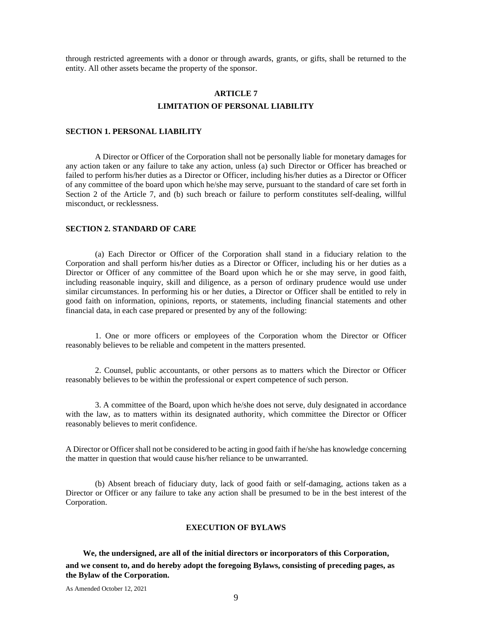through restricted agreements with a donor or through awards, grants, or gifts, shall be returned to the entity. All other assets became the property of the sponsor.

# **ARTICLE 7 LIMITATION OF PERSONAL LIABILITY**

## **SECTION 1. PERSONAL LIABILITY**

A Director or Officer of the Corporation shall not be personally liable for monetary damages for any action taken or any failure to take any action, unless (a) such Director or Officer has breached or failed to perform his/her duties as a Director or Officer, including his/her duties as a Director or Officer of any committee of the board upon which he/she may serve, pursuant to the standard of care set forth in Section 2 of the Article 7, and (b) such breach or failure to perform constitutes self-dealing, willful misconduct, or recklessness.

## **SECTION 2. STANDARD OF CARE**

(a) Each Director or Officer of the Corporation shall stand in a fiduciary relation to the Corporation and shall perform his/her duties as a Director or Officer, including his or her duties as a Director or Officer of any committee of the Board upon which he or she may serve, in good faith, including reasonable inquiry, skill and diligence, as a person of ordinary prudence would use under similar circumstances. In performing his or her duties, a Director or Officer shall be entitled to rely in good faith on information, opinions, reports, or statements, including financial statements and other financial data, in each case prepared or presented by any of the following:

1. One or more officers or employees of the Corporation whom the Director or Officer reasonably believes to be reliable and competent in the matters presented.

2. Counsel, public accountants, or other persons as to matters which the Director or Officer reasonably believes to be within the professional or expert competence of such person.

3. A committee of the Board, upon which he/she does not serve, duly designated in accordance with the law, as to matters within its designated authority, which committee the Director or Officer reasonably believes to merit confidence.

A Director or Officer shall not be considered to be acting in good faith if he/she has knowledge concerning the matter in question that would cause his/her reliance to be unwarranted.

(b) Absent breach of fiduciary duty, lack of good faith or self-damaging, actions taken as a Director or Officer or any failure to take any action shall be presumed to be in the best interest of the Corporation.

## **EXECUTION OF BYLAWS**

**We, the undersigned, are all of the initial directors or incorporators of this Corporation,**

**and we consent to, and do hereby adopt the foregoing Bylaws, consisting of preceding pages, as the Bylaw of the Corporation.**